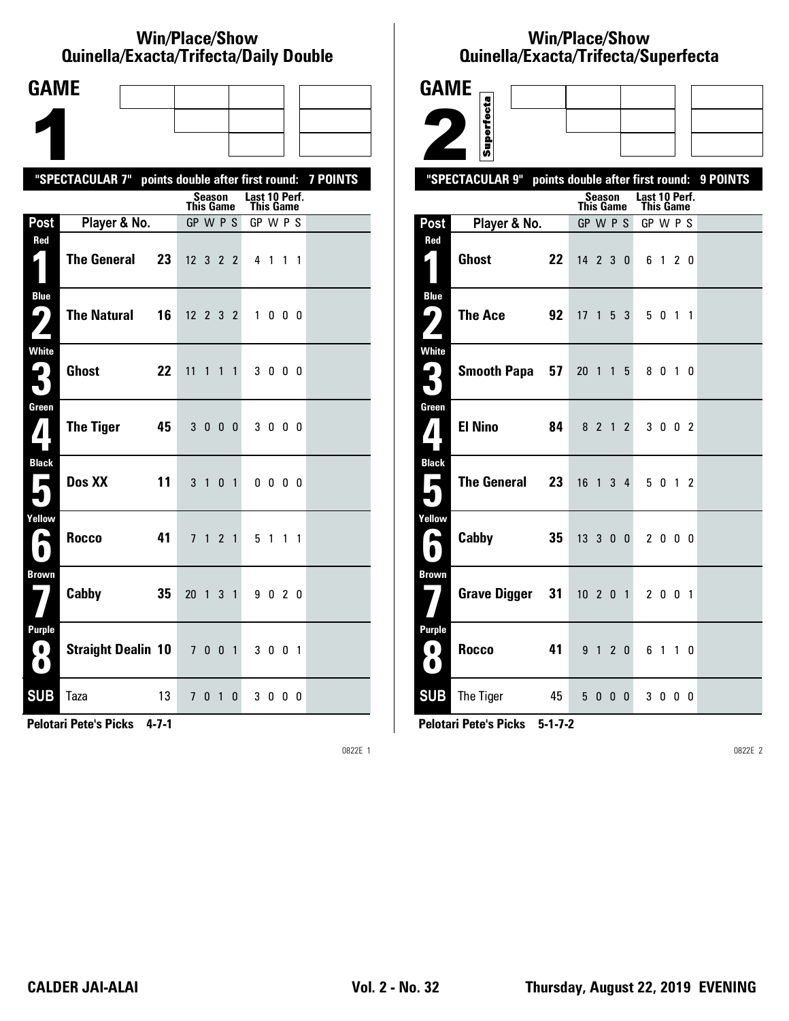#### **Win/Place/Show Qui nel la/Exacta/Tri fecta/Daily Dou ble**

| <b>GAME</b>                                  |                                                  |    |                  |                |                |              |                            |                          |           |                 |
|----------------------------------------------|--------------------------------------------------|----|------------------|----------------|----------------|--------------|----------------------------|--------------------------|-----------|-----------------|
|                                              |                                                  |    |                  |                |                |              |                            |                          |           |                 |
|                                              |                                                  |    |                  |                |                |              |                            |                          |           |                 |
|                                              | "SPECTACULAR 7" points double after first round: |    |                  |                |                |              |                            |                          |           | <b>7 POINTS</b> |
|                                              |                                                  |    | This Game        | Season         |                |              | Last 10 Perf.<br>This Game |                          |           |                 |
| Post                                         | Player & No.                                     |    | GP W P S         |                |                |              | GP W P S                   |                          |           |                 |
| Red                                          | <b>The General</b>                               | 23 | $12$ 3 2 2       |                |                |              |                            | 4 1                      | $1\quad1$ |                 |
| <b>Blue</b><br>7<br>$\overline{ }$           | <b>The Natural</b>                               | 16 | $12 \t2 \t3 \t2$ |                |                |              | 1                          |                          | $0\,0\,0$ |                 |
| White<br>3                                   | <b>Ghost</b>                                     | 22 | 11               | $\mathbf{1}$   | $\mathbf{1}$   | $\mathbf{1}$ |                            | 3000                     |           |                 |
| Green<br>7                                   | <b>The Tiger</b>                                 | 45 | 3 0 0 0          |                |                |              |                            | 3000                     |           |                 |
| <b>Black</b><br>$\overline{\phantom{a}}$     | Dos XX                                           | 11 | 3 <sub>1</sub>   |                | 0 <sub>1</sub> |              |                            | $0\quad 0\quad 0\quad 0$ |           |                 |
| Yellow<br>е                                  | <b>Rocco</b>                                     | 41 | 7 <sub>1</sub>   |                | 2 <sub>1</sub> |              |                            | 5 1 1 1                  |           |                 |
| <b>Brown</b>                                 | Cabby                                            | 35 | 20 <sub>1</sub>  |                | 3 <sub>1</sub> |              |                            | 9020                     |           |                 |
| <b>Purple</b><br>$\blacksquare$<br>$\bullet$ | <b>Straight Dealin 10</b>                        |    | 7 0 0 1          |                |                |              |                            | 3 0 0 1                  |           |                 |
| <b>SUB</b>                                   | Taza                                             | 13 | 7                | 0 <sub>1</sub> |                | 0            |                            | 3000                     |           |                 |

**Pelotari Pete's Picks 4-7-1**

0822E 1

# **Win/Place/Show Qui nel la/Exacta/Tri fecta/Super fecta**

| <b>GAME</b>                    |                                                     |                  |         |            |                                   |         |    |    |          |
|--------------------------------|-----------------------------------------------------|------------------|---------|------------|-----------------------------------|---------|----|----|----------|
|                                |                                                     |                  |         |            |                                   |         |    |    |          |
|                                | Superfecta                                          |                  |         |            |                                   |         |    |    |          |
|                                | "SPECTACULAR 9"<br>points double after first round: |                  |         |            |                                   |         |    |    | 9 POINTS |
|                                |                                                     | <b>This Game</b> | Season  |            | Last 10 Perf.<br><b>This Game</b> |         |    |    |          |
| Post                           | Player & No.                                        | GP W P S         |         |            | GP W P S                          |         |    |    |          |
| Red<br>$\mathsf{L}_\parallel$  | <b>Ghost</b><br>22                                  | 14 2 3 0         |         |            |                                   | 6 1 2 0 |    |    |          |
| <b>Blue</b><br>ر با            | The Ace<br>92                                       | $17 \t1 \t5 \t3$ |         |            |                                   | 50      | 11 |    |          |
| <b>White</b><br>$\mathbf{G}_i$ | <b>Smooth Papa</b><br>57                            | 20 1 1 5         |         |            |                                   | 8010    |    |    |          |
| Green<br>$\pmb{I}$ :           | <b>El Nino</b><br>84                                |                  |         | 8 2 1 2    |                                   | 3 0 0 2 |    |    |          |
| <b>Black</b><br>П<br>٠         | The General<br>23                                   | 16 <sub>1</sub>  |         | $3\quad 4$ |                                   | 5 0 1 2 |    |    |          |
| Yellow<br>A                    | Cabby<br>35                                         | 13300            |         |            |                                   | 2 0 0 0 |    |    |          |
| <b>Brown</b>                   | <b>Grave Digger</b><br>31                           | $10$ 2 0 1       |         |            |                                   | 2 0 0 1 |    |    |          |
| Purple<br>$\blacksquare$<br>Ð  | Rocco<br>41                                         |                  | 9 1 2 0 |            |                                   | 6 1     |    | 10 |          |
| <b>SUB</b>                     | The Tiger<br>- 45                                   |                  |         | 5000       |                                   | 3000    |    |    |          |

**Pelotari Pete's Picks 5-1-7-2**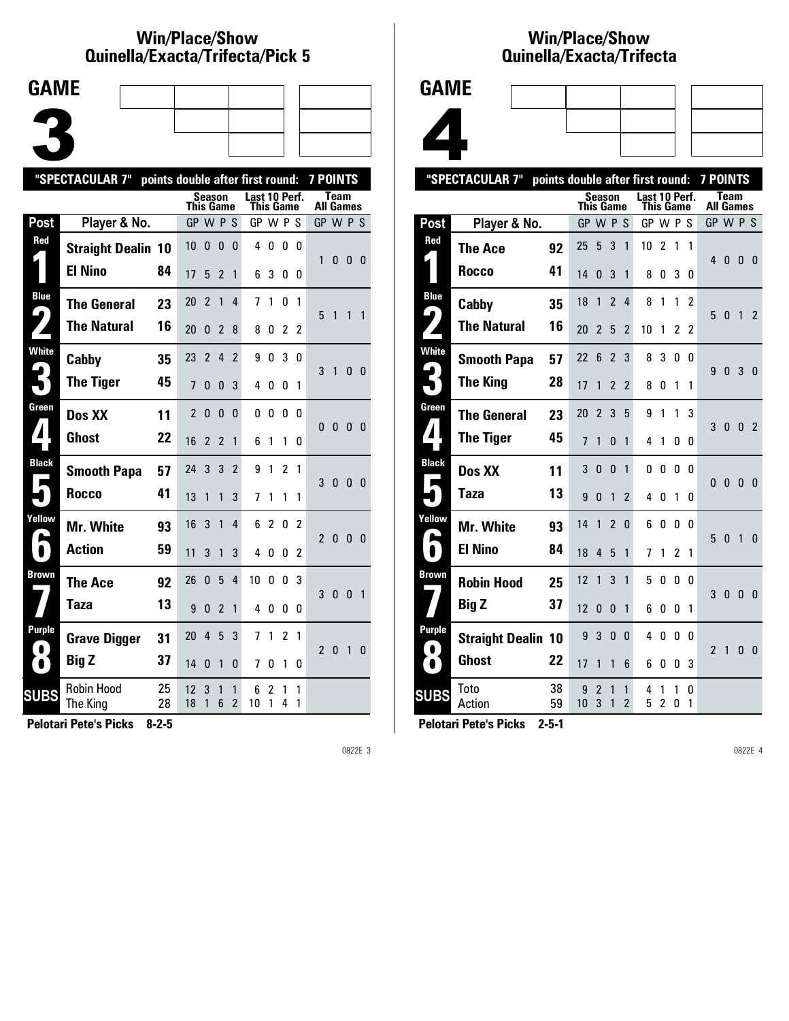### **Win/Place/Show Qui nel la/Exacta/Tri fecta/Pick 5**



|                                      | "SPECTACULAR 7"           | points double after first round: |                  |                |                |                               |                                   |          |                |                | <b>7 POINTS</b>  |              |              |                |
|--------------------------------------|---------------------------|----------------------------------|------------------|----------------|----------------|-------------------------------|-----------------------------------|----------|----------------|----------------|------------------|--------------|--------------|----------------|
|                                      |                           |                                  | <b>This Game</b> | Season         |                |                               | Last 10 Perf.<br><b>This Game</b> |          |                |                | <b>All Games</b> | <b>Team</b>  |              |                |
| Post                                 | Player & No.              |                                  | GP W P S         |                |                |                               | GP W P S                          |          |                |                | GP W P S         |              |              |                |
| Red                                  | <b>Straight Dealin 10</b> |                                  | 10               | 0              | 0              | $\Omega$                      | 4                                 | 0        | 0              | 0              | 1                | 0            | 0            | $\Omega$       |
|                                      | <b>El Nino</b>            | 84                               | 17               | 5              | $\overline{2}$ | 1                             | 6                                 | 3        | 0              | 0              |                  |              |              |                |
| <b>Blue</b><br>$\blacktriangleright$ | <b>The General</b>        | 23                               | 20               | $\overline{2}$ | $\mathbf{1}$   | 4                             | 7                                 | 1        | 0              | 1              | 5                | 1            | 1            | 1              |
|                                      | <b>The Natural</b>        | 16                               | 20               | $\Omega$       | $\overline{2}$ | 8                             | 8                                 | 0        | 2              | $\overline{2}$ |                  |              |              |                |
| <b>White</b>                         | Cabby                     | 35                               | 23               | $\overline{2}$ | 4              | $\overline{2}$                | 9                                 | 0        | 3              | 0              | 3                | 1            | 0            | $\overline{0}$ |
|                                      | <b>The Tiger</b>          | 45                               | $\overline{1}$   | 0              | 0              | 3                             | 4                                 | 0        | 0              | 1              |                  |              |              |                |
| Green                                | Dos XX                    | 11                               | $\overline{2}$   | $\Omega$       | $\Omega$       | $\Omega$                      | 0                                 | $\Omega$ | 0              | <sub>0</sub>   | 0                | $\mathbf{0}$ | $\Omega$     | $\Omega$       |
| $\blacktriangle$                     | <b>Ghost</b>              | 22                               | 16               | $\overline{2}$ | $\overline{2}$ | 1                             | 6                                 | 1        | 1              | 0              |                  |              |              |                |
| <b>Black</b>                         | <b>Smooth Papa</b>        | 57                               | 24               | 3              | 3              | $\overline{2}$                | 9                                 | 1        | $\overline{2}$ | 1              | 3                | $\bf{0}$     | $\mathbf{0}$ | $\mathbf{0}$   |
|                                      | Rocco                     | 41                               | 13               | 1              | 1              | 3                             | 7                                 | 1        | 1              | 1              |                  |              |              |                |
| Yellow                               | Mr. White                 | 93                               | 16               | 3              | $\mathbf{1}$   | 4                             | 6                                 | 2        | 0              | 2              | $\mathfrak z$    | $\bf{0}$     | $\mathbf{0}$ | $\mathbf{0}$   |
| $\blacksquare$                       | <b>Action</b>             | 59                               | 11               | 3              | $\mathbf{1}$   | 3                             | 4                                 | 0        | 0              | 2              |                  |              |              |                |
| Brown                                | The Ace                   | 92                               | 26               | 0              | 5              | 4                             | 10                                | 0        | 0              | 3              | 3                | $\mathbf{0}$ | $\mathbf{0}$ | $\mathbf{1}$   |
|                                      | Taza                      | 13                               | 9                | 0              | $\overline{2}$ | 1                             | 4                                 | 0        | 0              | 0              |                  |              |              |                |
| Purple<br>$\bullet$                  | <b>Grave Digger</b>       | 31                               | 20               | 4              | 5              | 3                             | 7                                 | 1        | 2              | 1              | $\overline{2}$   | 0            | $\mathbf{1}$ | 0              |
| $\bullet$                            | <b>Big Z</b>              | 37                               | 14               | 0              | $\mathbf{1}$   | 0                             | 7                                 | 0        | 1              | 0              |                  |              |              |                |
| <b>SUBS</b>                          | Robin Hood<br>The King    | 25<br>28                         | 12<br>18         | 3<br>1         | 1<br>6         | 1<br>$\overline{\phantom{a}}$ | 6<br>10                           | 2<br>1   | 1<br>4         | 1<br>1         |                  |              |              |                |
|                                      |                           |                                  |                  |                |                |                               |                                   |          |                |                |                  |              |              |                |

**Pelotari Pete's Picks 8-2-5**

0822E 3

## **Win/Place/Show Qui nel la/Exacta/Tri fecta**



|                            | "SPECTACULAR 7"           | points double after first round: |           |                |                |                     |                            |                     |                |               | <b>7 POINTS</b>  |              |                |                |
|----------------------------|---------------------------|----------------------------------|-----------|----------------|----------------|---------------------|----------------------------|---------------------|----------------|---------------|------------------|--------------|----------------|----------------|
|                            |                           |                                  | This Game | <b>Season</b>  |                |                     | Last 10 Perf.<br>This Game |                     |                |               | <b>All Games</b> | Team         |                |                |
| Post                       | Player & No.              |                                  | GP        |                | <b>WPS</b>     |                     | GP W P                     |                     |                | S             | GP W P S         |              |                |                |
| <b>Red</b><br>L.           | <b>The Ace</b>            | 92                               | 25        | 5              | 3              | 1                   | 10                         | $\overline{c}$      | 1              | 1             | 4                | $\mathbf{0}$ | $\mathbf{0}$   | 0              |
|                            | Rocco                     | 41                               | 14        | 0              | 3              | 1                   | 8                          | 0                   | 3              | 0             |                  |              |                |                |
| <b>Blue</b><br>4           | Cabby                     | 35                               | 18        | 1              | $\overline{2}$ | 4                   | 8                          | 1                   | 1              | $\mathfrak z$ | 5                | $\mathbf{0}$ | $\mathbf{1}$   | 2              |
|                            | <b>The Natural</b>        | 16                               | 20        | $\overline{2}$ | 5              | 2                   | 10                         | 1                   | 2              | 2             |                  |              |                |                |
| <b>White</b>               | <b>Smooth Papa</b>        | 57                               | 22        | 6              | $\overline{2}$ | 3                   | 8                          | 3                   | 0              | 0             | 9                | 0            | 3              | 0              |
| 3                          | <b>The King</b>           | 28                               | 17        | 1              | $\mathfrak{p}$ | $\overline{2}$      | 8                          | 0                   | 1              | 1             |                  |              |                |                |
| Green<br>$\mathbf{I}$      | <b>The General</b>        | 23                               | 20        | $\overline{2}$ | 3              | 5                   | 9                          | 1                   | 1              | 3             | 3                | 0            | $\mathbf{0}$   | $\overline{2}$ |
|                            | <b>The Tiger</b>          | 45                               | 7         | 1              | 0              | 1                   | 4                          | 1                   | 0              | 0             |                  |              |                |                |
| <b>Black</b><br>Е          | Dos XX                    | 11                               | 3         | $\mathbf{0}$   | 0              | 1                   | 0                          | 0                   | 0              | $\Omega$      | $\mathbf{0}$     | $\mathbf{0}$ | $\overline{0}$ | $\theta$       |
|                            | Taza                      | 13                               | 9         | 0              | 1              | $\overline{2}$      | 4                          | 0                   | 1              | 0             |                  |              |                |                |
| Yellow<br>L                | Mr. White                 | 93                               | 14        | 1              | $\overline{2}$ | 0                   | 6                          | 0                   | 0              | 0             | 5                | $\mathbf{0}$ | $\overline{1}$ | $\mathbf{0}$   |
| $\bullet$                  | <b>El Nino</b>            | 84                               | 18        | 4              | 5              | 1                   | 7                          | 1                   | $\overline{2}$ | 1             |                  |              |                |                |
| <b>Brown</b>               | <b>Robin Hood</b>         | 25                               | 12        | 1              | 3              | 1                   | 5                          | 0                   | 0              | 0             | 3                | $\mathbf{0}$ | $\mathbf{0}$   | 0              |
|                            | <b>Big Z</b>              | 37                               | 12        | 0              | 0              | 1                   | 6                          | 0                   | 0              | 1             |                  |              |                |                |
| <b>Purple</b><br>$\bullet$ | <b>Straight Dealin 10</b> |                                  | 9         | 3              | 0              | 0                   | 4                          | 0                   | 0              | 0             | $\overline{2}$   | 1            | $\mathbf{0}$   | $\mathbf{0}$   |
| $\bullet$                  | <b>Ghost</b>              | 22                               | 17        | 1              | 1              | 6                   | 6                          | 0                   | 0              | 3             |                  |              |                |                |
| <b>SUBS</b>                | Toto<br>Action            | 38<br>59                         | 9<br>10   | 2<br>3         | 1<br>1         | 1<br>$\overline{2}$ | 4<br>5                     | 1<br>$\overline{c}$ | 1<br>0         | 0<br>1        |                  |              |                |                |
|                            |                           |                                  |           |                |                |                     |                            |                     |                |               |                  |              |                |                |

**Pelotari Pete's Picks 2-5-1**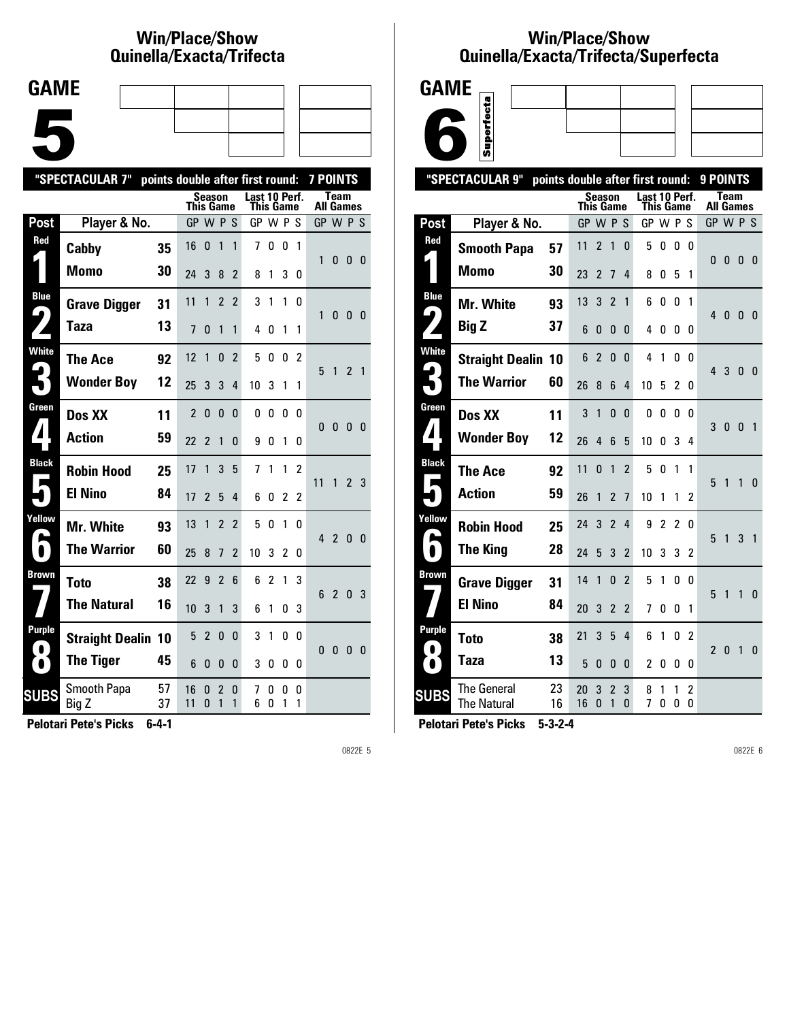# **Win/Place/Show Qui nel la/Exacta/Tri fecta**

| <b>GAME</b> |  |  |
|-------------|--|--|
|             |  |  |
|             |  |  |
|             |  |  |
|             |  |  |
|             |  |  |
|             |  |  |

|                                      | "SPECTACULAR 7"           |          |                  |                |                          | points double after first round: |                            |                | <b>7 POINTS</b> |                |                  |                |                |     |
|--------------------------------------|---------------------------|----------|------------------|----------------|--------------------------|----------------------------------|----------------------------|----------------|-----------------|----------------|------------------|----------------|----------------|-----|
|                                      |                           |          | <b>This Game</b> | Season         |                          |                                  | Last 10 Perf.<br>This Game |                |                 |                | <b>All Games</b> | <b>Team</b>    |                |     |
| Post                                 | Player & No.              |          | GP W P S         |                |                          |                                  | GP W P S                   |                |                 |                | GP W P S         |                |                |     |
| Red                                  | Cabby                     | 35       | 16               | $\mathbf{0}$   | 1                        | 1                                | 7                          | 0              | 0               | $\mathbf{1}$   | 1                | 0              | $\mathbf{0}$   | - 0 |
|                                      | <b>Momo</b>               | 30       | 24               | 3              | 8                        | $\overline{2}$                   | 8                          | 1              | 3               | 0              |                  |                |                |     |
| <b>Blue</b><br>$\blacktriangleright$ | <b>Grave Digger</b>       | 31       | 11               | 1              | $\overline{2}$           | $\overline{2}$                   | 3                          | 1              | 1               | 0              | 1                | 0              | 0 <sub>0</sub> |     |
|                                      | <b>Taza</b>               | 13       | 7                | 0              | 1                        | 1                                | 4                          | 0              | 1               | 1              |                  |                |                |     |
| <b>White</b>                         | The Ace                   | 92       | 12               | 1              | 0                        | $\overline{2}$                   | 5                          | 0              | 0               | $\mathfrak{p}$ | 5                | $\mathbf{1}$   | 2 <sub>1</sub> |     |
|                                      | <b>Wonder Boy</b>         | 12       | 25               | 3              | 3                        | 4                                | 10                         | 3              | 1               | 1              |                  |                |                |     |
| Green                                | Dos XX                    | 11       | $\overline{2}$   | $\mathbf{0}$   | 0                        | 0                                | 0                          | 0              | 0               | 0              | 0                | $\mathbf{0}$   | $\mathbf{0}$   | - 0 |
| $\boldsymbol{I}$                     | <b>Action</b>             | 59       | 22               | 2              | 1                        | 0                                | 9                          | 0              | 1               | 0              |                  |                |                |     |
| <b>Black</b>                         | <b>Robin Hood</b>         | 25       | 17               | 1              | 3                        | 5                                | 7                          | 1              | 1               | $\mathfrak z$  | 11               | $\mathbf{1}$   | 2 <sub>3</sub> |     |
|                                      | <b>El Nino</b>            | 84       | 17               | 2              | 5                        | 4                                | 6                          | 0              | 2               | 2              |                  |                |                |     |
| Yellow                               | <b>Mr. White</b>          | 93       | 13               | 1              | $\overline{2}$           | $\overline{2}$                   | 5                          | 0              | 1               | 0              | 4 <sub>2</sub>   |                | 0 <sub>0</sub> |     |
| $\bullet$                            | <b>The Warrior</b>        | 60       | 25               | 8              | $\overline{1}$           | $\overline{\phantom{a}}$         | 10                         | 3              | $\overline{2}$  | 0              |                  |                |                |     |
| Brown                                | <b>Toto</b>               | 38       | 22               | 9              | $\overline{\phantom{a}}$ | 6                                | 6                          | $\overline{c}$ | 1               | 3              | 6                | $\overline{2}$ | 0              | - 3 |
|                                      | <b>The Natural</b>        | 16       | 10               | 3              | 1                        | 3                                | 6                          | 1              | 0               | 3              |                  |                |                |     |
| <b>Purple</b><br>$\bullet$           | <b>Straight Dealin 10</b> |          | 5                | $\overline{2}$ | 0                        | 0                                | 3                          | 1              | 0               | 0              | 0                | 0              | $\mathbf{0}$   | - 0 |
| $\bullet$                            | <b>The Tiger</b>          | 45       | 6                | 0              | 0                        | 0                                | 3                          | 0              | 0               | 0              |                  |                |                |     |
| <b>SUBS</b>                          | Smooth Papa<br>Big Z      | 57<br>37 | 16<br>11         | 0<br>0         | 2<br>1                   | 0<br>1                           | 7<br>6                     | 0<br>0         | 0<br>1          | 0<br>1         |                  |                |                |     |
|                                      |                           |          |                  |                |                          |                                  |                            |                |                 |                |                  |                |                |     |

**Pelotari Pete's Picks 6-4-1**

0822E 5

# **Win/Place/Show Qui nel la/Exacta/Tri fecta/Super fecta**



| "SPECTACULAR 9"<br>points double after first round: |                                   |          |           |                |                     |                |               |                |                | 9 POINTS       |                |                          |                |                |
|-----------------------------------------------------|-----------------------------------|----------|-----------|----------------|---------------------|----------------|---------------|----------------|----------------|----------------|----------------|--------------------------|----------------|----------------|
|                                                     |                                   |          | This Game | <b>Season</b>  |                     |                | Last 10 Perf. | This Game      |                |                |                | Team<br><b>All Games</b> |                |                |
| Post                                                | Player & No.                      |          | GP W P S  |                |                     |                | GP W P S      |                |                |                | GP W P S       |                          |                |                |
| Red<br>L                                            | <b>Smooth Papa</b>                | 57       | 11        | $\overline{2}$ | 1                   | 0              | 5             | 0              | $\mathbf{0}$   | 0              |                |                          |                |                |
|                                                     | Momo                              | 30       | 23        | $\overline{2}$ | 7                   | 4              | 8             | 0              | 5              | 1              | 0              | 0                        | 0              | - 0            |
| <b>Blue</b>                                         | Mr. White                         | 93       | 13        | 3              | $\overline{2}$      | 1              | 6             | 0              | 0              | 1              |                |                          |                |                |
| 9                                                   | <b>Big Z</b>                      | 37       | 6         | 0              | 0                   | 0              | 4             | 0              | 0              | 0              | 4              | $\mathbf{0}$             | $\mathbf{0}$   | - 0            |
| <b>White</b>                                        | <b>Straight Dealin 10</b>         |          | 6         | $\overline{2}$ | $\mathbf{0}$        | 0              | 4             | 1              | 0              | n              | 4              | 3                        | $\mathbf{0}$   | - 0            |
| $\boldsymbol{\mathsf{G}}$                           | <b>The Warrior</b>                | 60       | 26        | 8              | 6                   | 4              | 10            | 5              | 2              | 0              |                |                          |                |                |
| Green                                               | Dos XX                            | 11       | 3         | 1              | $\mathbf{0}$        | $\mathbf{0}$   | 0             | 0              | 0              | 0              | 3              | $\mathbf{0}$             | $\overline{0}$ | $\overline{1}$ |
| $\boldsymbol{I}$                                    | <b>Wonder Boy</b>                 | 12       | 26        | 4              | 6                   | 5              | 10            | O              | 3              | 4              |                |                          |                |                |
| <b>Black</b><br>Р                                   | <b>The Ace</b>                    | 92       | 11        | 0              | 1                   | $\overline{2}$ | 5             | 0              | 1              | 1              | 5              | $\mathbf{1}$             | $\mathbf{1}$   | $\mathbf{0}$   |
|                                                     | <b>Action</b>                     | 59       | 26        | 1              | $\overline{2}$      | $\overline{1}$ | 10            | 1              | 1              | $\overline{c}$ |                |                          |                |                |
| Yellow                                              | <b>Robin Hood</b>                 | 25       | 24        | 3              | $\overline{2}$      | 4              | 9             | $\overline{2}$ | $\overline{2}$ | 0              | 5              | $\mathbf{1}$             | 3              | $\overline{1}$ |
|                                                     | <b>The King</b>                   | 28       | 24        | 5              | 3                   | $\overline{2}$ | 10            | 3              | 3              | 2              |                |                          |                |                |
| Brown                                               | <b>Grave Digger</b>               | 31       | 14        | 1              | $\mathbf{0}$        | $\overline{2}$ | 5             | 1              | 0              | 0              | 5              | $\mathbf{1}$             | 1              | $\Omega$       |
|                                                     | <b>El Nino</b>                    | 84       | 20        | 3              | $\mathfrak{p}$      | $\overline{2}$ | 7             | 0              | 0              | 1              |                |                          |                |                |
| Purple<br>$\bullet$                                 | <b>Toto</b>                       | 38       | 21        | 3              | 5                   | 4              | 6             | 1              | 0              | $\overline{2}$ | $\overline{2}$ | 0                        | $\overline{1}$ | $\mathbf{0}$   |
| $\bullet$                                           | Taza                              | 13       | 5         | 0              | $\mathbf{0}$        | 0              | 2             | 0              | 0              | 0              |                |                          |                |                |
| <b>SUBS</b>                                         | The General<br><b>The Natural</b> | 23<br>16 | 20<br>16  | 3<br>$\Omega$  | $\overline{2}$<br>1 | 3<br>0         | 8<br>7        | 1<br>0         | 1<br>0         | 2<br>0         |                |                          |                |                |
|                                                     |                                   |          |           |                |                     |                |               |                |                |                |                |                          |                |                |

**Pelotari Pete's Picks 5-3-2-4**